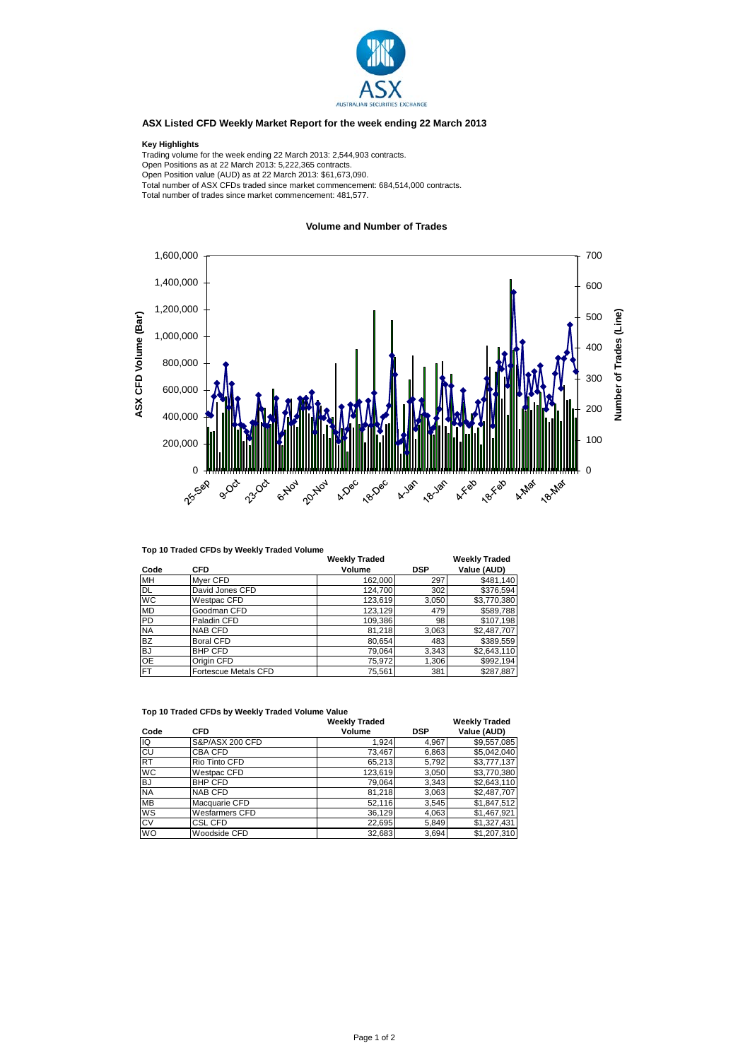

## **ASX Listed CFD Weekly Market Report for the week ending 22 March 2013**

## **Key Highlights**

Trading volume for the week ending 22 March 2013: 2,544,903 contracts. Open Positions as at 22 March 2013: 5,222,365 contracts. Open Position value (AUD) as at 22 March 2013: \$61,673,090. Total number of ASX CFDs traded since market commencement: 684,514,000 contracts. Total number of trades since market commencement: 481,577.

## **Volume and Number of Trades**



## **Top 10 Traded CFDs by Weekly Traded Volume**

|           |                             | <b>Weekly Traded</b> |            | Weekly Traded |
|-----------|-----------------------------|----------------------|------------|---------------|
| Code      | <b>CFD</b>                  | Volume               | <b>DSP</b> | Value (AUD)   |
| <b>MH</b> | Mver CFD                    | 162,000              | 297        | \$481,140     |
| <b>DL</b> | David Jones CFD             | 124,700              | 302        | \$376,594     |
| <b>WC</b> | Westpac CFD                 | 123,619              | 3,050      | \$3,770,380   |
| <b>MD</b> | Goodman CFD                 | 123,129              | 479        | \$589,788     |
| PD        | Paladin CFD                 | 109,386              | 98         | \$107,198     |
| <b>NA</b> | <b>NAB CFD</b>              | 81,218               | 3,063      | \$2,487,707   |
| <b>BZ</b> | <b>Boral CFD</b>            | 80,654               | 483        | \$389,559     |
| 'BJ       | <b>BHP CFD</b>              | 79,064               | 3,343      | \$2,643,110   |
| <b>OE</b> | Origin CFD                  | 75,972               | 1,306      | \$992,194     |
| <b>FT</b> | <b>Fortescue Metals CFD</b> | 75,561               | 381        | \$287.887     |

| TOD TO Traded CFDS by Weekly Traded Volume Value |                 |                      |            |                      |  |  |  |  |
|--------------------------------------------------|-----------------|----------------------|------------|----------------------|--|--|--|--|
|                                                  |                 | <b>Weekly Traded</b> |            | <b>Weekly Traded</b> |  |  |  |  |
| Code                                             | <b>CFD</b>      | Volume               | <b>DSP</b> | Value (AUD)          |  |  |  |  |
| lıQ                                              | S&P/ASX 200 CFD | 1,924                | 4,967      | \$9,557,085          |  |  |  |  |
| <b>CU</b>                                        | CBA CFD         | 73,467               | 6,863      | \$5,042,040          |  |  |  |  |
| <b>RT</b>                                        | Rio Tinto CFD   | 65,213               | 5,792      | \$3,777,137          |  |  |  |  |
| <b>WC</b>                                        | Westpac CFD     | 123,619              | 3,050      | \$3,770,380          |  |  |  |  |
| <b>BJ</b>                                        | <b>BHP CFD</b>  | 79,064               | 3,343      | \$2.643.110          |  |  |  |  |
| <b>NA</b>                                        | <b>NAB CFD</b>  | 81,218               | 3,063      | \$2,487,707          |  |  |  |  |
| <b>MB</b>                                        | Macquarie CFD   | 52,116               | 3,545      | \$1.847.512          |  |  |  |  |
| WS                                               | Wesfarmers CFD  | 36,129               | 4,063      | \$1,467,921          |  |  |  |  |
| <b>CV</b>                                        | <b>CSL CFD</b>  | 22,695               | 5,849      | \$1,327,431          |  |  |  |  |
| <b>WO</b>                                        | Woodside CFD    | 32,683               | 3,694      | \$1.207.310          |  |  |  |  |

**Top 10 Traded CFDs by Weekly Traded Volume Value**